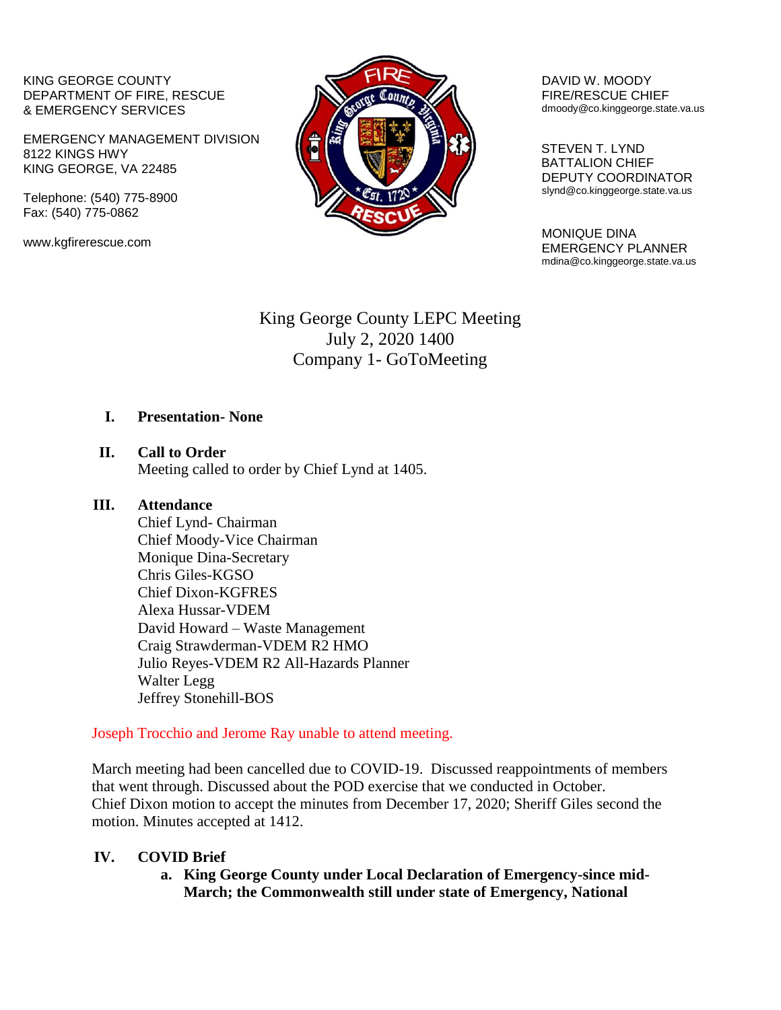KING GEORGE COUNTY DEPARTMENT OF FIRE, RESCUE & EMERGENCY SERVICES

EMERGENCY MANAGEMENT DIVISION 8122 KINGS HWY KING GEORGE, VA 22485

Telephone: (540) 775-8900 Fax: (540) 775-0862

www.kgfirerescue.com



DAVID W. MOODY FIRE/RESCUE CHIEF dmoody@co.kinggeorge.state.va.us

 STEVEN T. LYND BATTALION CHIEF DEPUTY COORDINATOR slynd@co.kinggeorge.state.va.us

MONIQUE DINA EMERGENCY PLANNER mdina@co.kinggeorge.state.va.us

# King George County LEPC Meeting July 2, 2020 1400 Company 1- GoToMeeting

#### **I. Presentation- None**

**II. Call to Order**

Meeting called to order by Chief Lynd at 1405.

#### **III. Attendance**

Chief Lynd- Chairman Chief Moody-Vice Chairman Monique Dina-Secretary Chris Giles-KGSO Chief Dixon-KGFRES Alexa Hussar-VDEM David Howard – Waste Management Craig Strawderman-VDEM R2 HMO Julio Reyes-VDEM R2 All-Hazards Planner Walter Legg Jeffrey Stonehill-BOS

Joseph Trocchio and Jerome Ray unable to attend meeting.

March meeting had been cancelled due to COVID-19. Discussed reappointments of members that went through. Discussed about the POD exercise that we conducted in October. Chief Dixon motion to accept the minutes from December 17, 2020; Sheriff Giles second the motion. Minutes accepted at 1412.

# **IV. COVID Brief**

**a. King George County under Local Declaration of Emergency-since mid-March; the Commonwealth still under state of Emergency, National**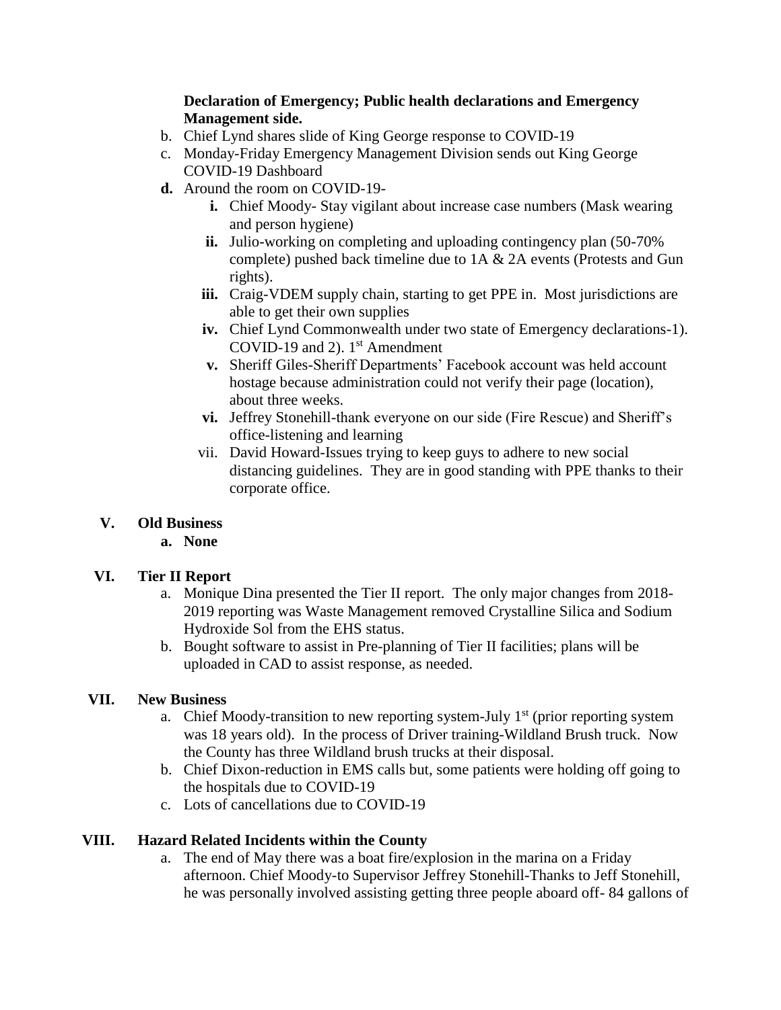#### **Declaration of Emergency; Public health declarations and Emergency Management side.**

- b. Chief Lynd shares slide of King George response to COVID-19
- c. Monday-Friday Emergency Management Division sends out King George COVID-19 Dashboard
- **d.** Around the room on COVID-19
	- **i.** Chief Moody-Stay vigilant about increase case numbers (Mask wearing and person hygiene)
	- **ii.** Julio-working on completing and uploading contingency plan (50-70%) complete) pushed back timeline due to 1A & 2A events (Protests and Gun rights).
	- **iii.** Craig-VDEM supply chain, starting to get PPE in. Most jurisdictions are able to get their own supplies
	- **iv.** Chief Lynd Commonwealth under two state of Emergency declarations-1). COVID-19 and 2).  $1<sup>st</sup>$  Amendment
	- **v.** Sheriff Giles-Sheriff Departments' Facebook account was held account hostage because administration could not verify their page (location), about three weeks.
	- **vi.** Jeffrey Stonehill-thank everyone on our side (Fire Rescue) and Sheriff's office-listening and learning
	- vii. David Howard-Issues trying to keep guys to adhere to new social distancing guidelines. They are in good standing with PPE thanks to their corporate office.

# **V. Old Business**

**a. None**

# **VI. Tier II Report**

- a. Monique Dina presented the Tier II report. The only major changes from 2018- 2019 reporting was Waste Management removed Crystalline Silica and Sodium Hydroxide Sol from the EHS status.
- b. Bought software to assist in Pre-planning of Tier II facilities; plans will be uploaded in CAD to assist response, as needed.

# **VII. New Business**

- a. Chief Moody-transition to new reporting system-July  $1<sup>st</sup>$  (prior reporting system was 18 years old). In the process of Driver training-Wildland Brush truck. Now the County has three Wildland brush trucks at their disposal.
- b. Chief Dixon-reduction in EMS calls but, some patients were holding off going to the hospitals due to COVID-19
- c. Lots of cancellations due to COVID-19

# **VIII. Hazard Related Incidents within the County**

a. The end of May there was a boat fire/explosion in the marina on a Friday afternoon. Chief Moody-to Supervisor Jeffrey Stonehill-Thanks to Jeff Stonehill, he was personally involved assisting getting three people aboard off- 84 gallons of